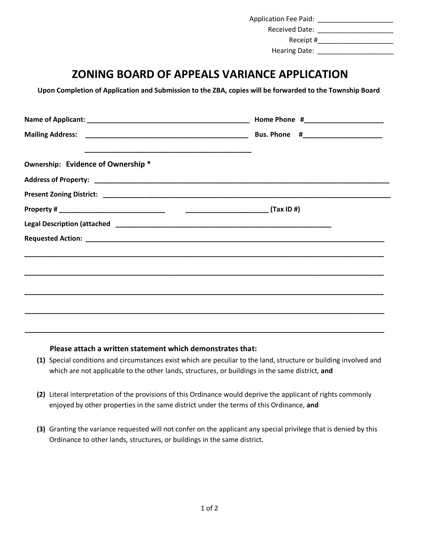| <b>Application Fee Paid:</b> |  |
|------------------------------|--|
| <b>Received Date:</b>        |  |
| Receipt #                    |  |
| <b>Hearing Date:</b>         |  |

## **ZONING BOARD OF APPEALS VARIANCE APPLICATION**

**Upon Completion of Application and Submission to the ZBA, copies will be forwarded to the Township Board**

| Ownership: Evidence of Ownership * |  |
|------------------------------------|--|
|                                    |  |
|                                    |  |
|                                    |  |
|                                    |  |

## **Please attach a written statement which demonstrates that:**

**(1)** Special conditions and circumstances exist which are peculiar to the land, structure or building involved and which are not applicable to the other lands, structures, or buildings in the same district, **and** 

**\_\_\_\_\_\_\_\_\_\_\_\_\_\_\_\_\_\_\_\_\_\_\_\_\_\_\_\_\_\_\_\_\_\_\_\_\_\_\_\_\_\_\_\_\_\_\_\_\_\_\_\_\_\_\_\_\_\_\_\_\_\_\_\_\_\_\_\_\_\_\_\_\_\_\_\_\_\_\_\_\_\_\_\_\_\_\_\_\_\_\_\_\_\_\_**

- **(2)** Literal interpretation of the provisions of this Ordinance would deprive the applicant of rights commonly enjoyed by other properties in the same district under the terms of this Ordinance, **and**
- **(3)** Granting the variance requested will not confer on the applicant any special privilege that is denied by this Ordinance to other lands, structures, or buildings in the same district.